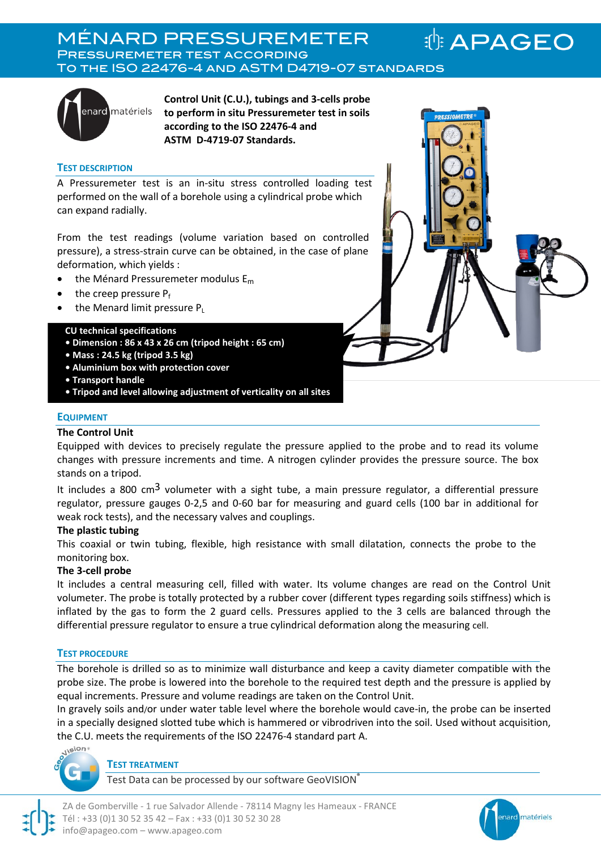MÉNARD PRESSUREMETER **: APAGEO** Pressuremeter test according To the ISO 22476-4 and ASTM D4719-07 standards



**Control Unit (C.U.), tubings and 3-cells probe to perform in situ Pressuremeter test in soils according to the ISO 22476-4 and ASTM D-4719-07 Standards.** 

#### **TEST DESCRIPTION**

A Pressuremeter test is an in-situ stress controlled loading test performed on the wall of a borehole using a cylindrical probe which can expand radially.

From the test readings (volume variation based on controlled pressure), a stress-strain curve can be obtained, in the case of plane deformation, which yields :

- the Ménard Pressuremeter modulus  $E_m$
- the creep pressure  $P_f$
- the Menard limit pressure P

#### **CU technical specifications**

- **Dimension : 86 x 43 x 26 cm (tripod height : 65 cm)**
- **Mass : 24.5 kg (tripod 3.5 kg)**
- **Aluminium box with protection cover**
- **Transport handle**
- **Tripod and level allowing adjustment of verticality on all sites**

#### **EQUIPMENT**

#### **The Control Unit**

Equipped with devices to precisely regulate the pressure applied to the probe and to read its volume changes with pressure increments and time. A nitrogen cylinder provides the pressure source. The box stands on a tripod.

It includes a 800 cm<sup>3</sup> volumeter with a sight tube, a main pressure regulator, a differential pressure regulator, pressure gauges 0-2,5 and 0-60 bar for measuring and guard cells (100 bar in additional for weak rock tests), and the necessary valves and couplings.

#### **The plastic tubing**

This coaxial or twin tubing, flexible, high resistance with small dilatation, connects the probe to the monitoring box.

#### **The 3-cell probe**

It includes a central measuring cell, filled with water. Its volume changes are read on the Control Unit volumeter. The probe is totally protected by a rubber cover (different types regarding soils stiffness) which is inflated by the gas to form the 2 guard cells. Pressures applied to the 3 cells are balanced through the differential pressure regulator to ensure a true cylindrical deformation along the measuring cell.

#### **TEST PROCEDURE**

The borehole is drilled so as to minimize wall disturbance and keep a cavity diameter compatible with the probe size. The probe is lowered into the borehole to the required test depth and the pressure is applied by equal increments. Pressure and volume readings are taken on the Control Unit.

In gravely soils and/or under water table level where the borehole would cave-in, the probe can be inserted in a specially designed slotted tube which is hammered or vibrodriven into the soil. Used without acquisition, the C.U. meets the requirements of the ISO 22476-4 standard part A.



#### **TEST TREATMENT**

Test Data can be processed by our software GeoVISION®